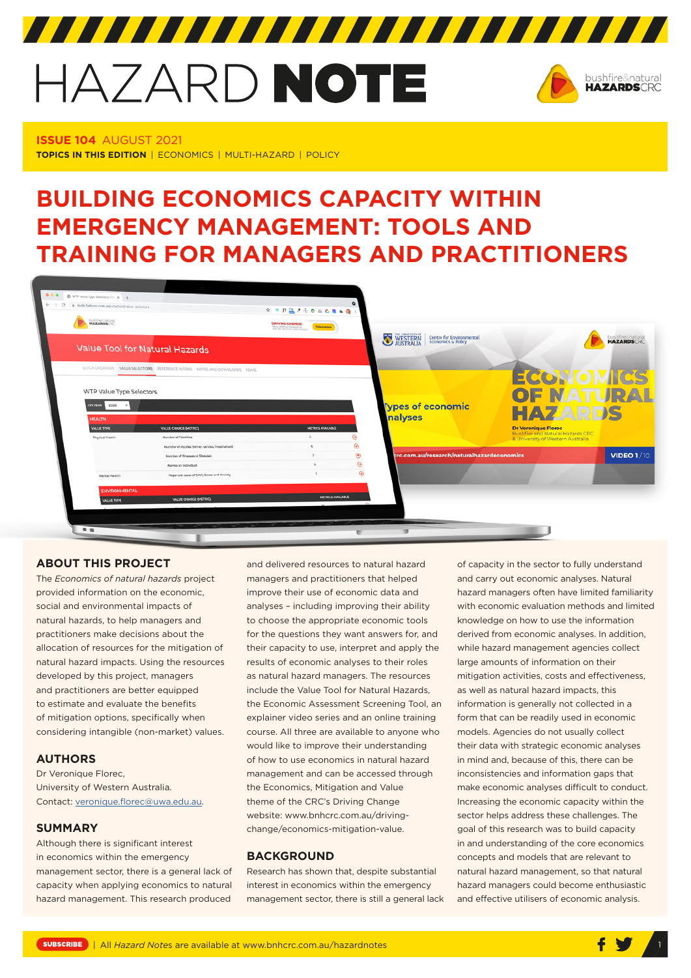# HAZARD NOTE



**ISSUE 104** AUGUST 2021 **TOPICS IN THIS EDITION** | ECONOMICS | MULTI-HAZARD | POLICY

# **BUILDING ECONOMICS CAPACITY WITHIN EMERGENCY MANAGEMENT: TOOLS AND TRAINING FOR MANAGERS AND PRACTITIONERS**



# **ABOUT THIS PROJECT**

The *[Economics of natural hazards](https://www.bnhcrc.com.au/research/naturalhazardeconomics)* project provided information on the economic, social and environmental impacts of natural hazards, to help managers and practitioners make decisions about the allocation of resources for the mitigation of natural hazard impacts. Using the resources developed by this project, managers and practitioners are better equipped to estimate and evaluate the benefits of mitigation options, specifically when considering intangible (non-market) values.

# **AUTHORS**

Dr Veronique Florec, University of Western Australia. Contact: [veronique.florec@uwa.edu.au.](mailto:veronique.florec@uwa.edu.au)

# **SUMMARY**

Although there is significant interest in economics within the emergency management sector, there is a general lack of capacity when applying economics to natural hazard management. This research produced

and delivered resources to natural hazard managers and practitioners that helped improve their use of economic data and analyses – including improving their ability to choose the appropriate economic tools for the questions they want answers for, and their capacity to use, interpret and apply the results of economic analyses to their roles as natural hazard managers. The resources include the Value Tool for Natural Hazards, the Economic Assessment Screening Tool, an explainer video series and an online training course. All three are available to anyone who would like to improve their understanding of how to use economics in natural hazard management and can be accessed through the Economics, Mitigation and Value theme of the CRC's Driving Change website: www.bnhcrc.com.au/drivingchange/economics-mitigation-value.

# **BACKGROUND**

Research has shown that, despite substantial interest in economics within the emergency management sector, there is still a general lack

of capacity in the sector to fully understand and carry out economic analyses. Natural hazard managers often have limited familiarity with economic evaluation methods and limited knowledge on how to use the information derived from economic analyses. In addition, while hazard management agencies collect large amounts of information on their mitigation activities, costs and effectiveness, as well as natural hazard impacts, this information is generally not collected in a form that can be readily used in economic models. Agencies do not usually collect their data with strategic economic analyses in mind and, because of this, there can be inconsistencies and information gaps that make economic analyses difficult to conduct. Increasing the economic capacity within the sector helps address these challenges. The goal of this research was to build capacity in and understanding of the core economics concepts and models that are relevant to natural hazard management, so that natural hazard managers could become enthusiastic and effective utilisers of economic analysis.

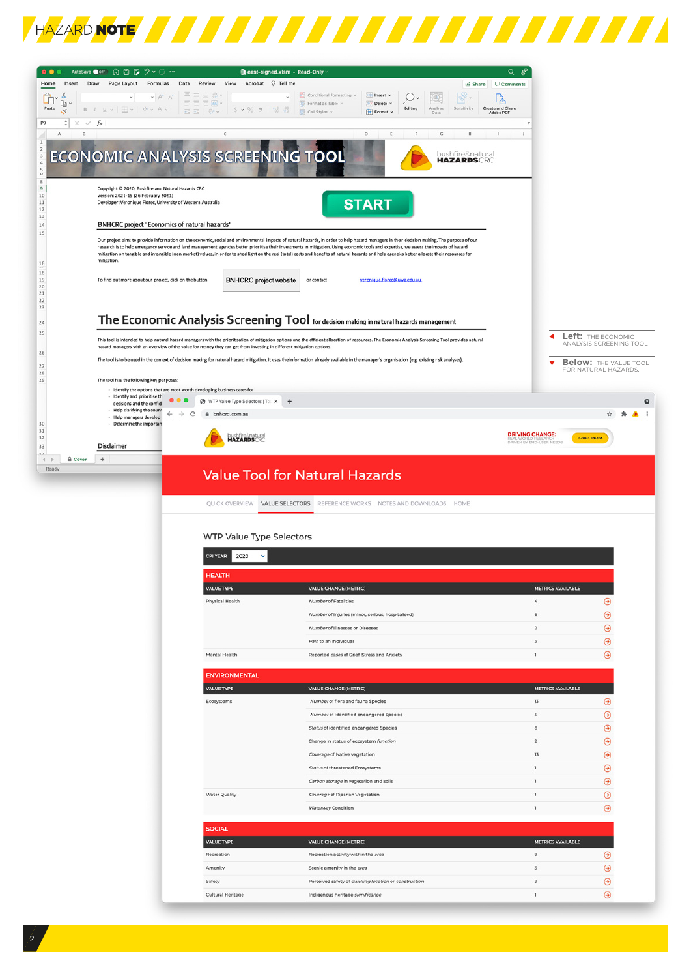

| Home<br>Insert                   | Draw<br>Formulas<br>Page Layout                                                                     | east-signed.xlsm - Read-Only<br>View Acrobat $\bigcirc$ Tell me<br>Data<br>Review                                         |                                                                                                                                                                                                                                                                                                                                                                                                | Q<br>క<br>Comments           |                              |
|----------------------------------|-----------------------------------------------------------------------------------------------------|---------------------------------------------------------------------------------------------------------------------------|------------------------------------------------------------------------------------------------------------------------------------------------------------------------------------------------------------------------------------------------------------------------------------------------------------------------------------------------------------------------------------------------|------------------------------|------------------------------|
|                                  | $\nu$ A <sup><math>n</math></sup><br>$\sim$                                                         | $\Xi \equiv \equiv \mathcal{B}$                                                                                           | <b><i>L</i></b> Share<br>Conditional Formatting<br>Insert v                                                                                                                                                                                                                                                                                                                                    |                              |                              |
| Ĥ<br>O<br>Paste                  | <b>B</b> <i>I</i> U v   $\exists$ v  <br>0.44                                                       | 三三三国<br>$5 \times %$ 9 $\frac{63}{10}$<br>$\overline{12}$ $\overline{12}$ $\overline{12}$ $\overline{12}$ $\overline{12}$ | $\textcircled{\scriptsize{4}}$<br>Format as Table v<br>图<br>Delete<br>Editing<br>Analyse<br>Sensitivity                                                                                                                                                                                                                                                                                        | وأني<br>Create and Share     |                              |
| ₫<br>÷<br>P9<br>$\times$         | $\checkmark$ fx                                                                                     |                                                                                                                           | Cell Styles v<br>Format<br>Data                                                                                                                                                                                                                                                                                                                                                                | Adobe PDF                    |                              |
| $\mathbf{R}$<br>A                |                                                                                                     | $\mathsf{C}$                                                                                                              | D<br>$\overline{\nu}$<br>${\mathbb G}$<br>E<br>Н                                                                                                                                                                                                                                                                                                                                               | $\mathbf{J}$<br>л.           |                              |
| 1                                |                                                                                                     |                                                                                                                           |                                                                                                                                                                                                                                                                                                                                                                                                |                              |                              |
|                                  |                                                                                                     | <b>ECONOMIC ANALYSIS SCREENING TOOL</b>                                                                                   | bushfire♮<br><b>HAZARDSCRC</b>                                                                                                                                                                                                                                                                                                                                                                 |                              |                              |
|                                  |                                                                                                     |                                                                                                                           |                                                                                                                                                                                                                                                                                                                                                                                                |                              |                              |
| 8<br>$9$                         | Copyright @ 2020, Bushfire and Natural Hazards CRC                                                  |                                                                                                                           |                                                                                                                                                                                                                                                                                                                                                                                                |                              |                              |
| $10$<br>$11\,$                   | Version: 2021-15 (26 February 2021)<br>Developer: Veronique Florec, University of Western Australia |                                                                                                                           | <b>START</b>                                                                                                                                                                                                                                                                                                                                                                                   |                              |                              |
| $12 \quad$<br>13                 | <b>BNHCRC project "Economics of natural hazards"</b>                                                |                                                                                                                           |                                                                                                                                                                                                                                                                                                                                                                                                |                              |                              |
| 14                               |                                                                                                     |                                                                                                                           |                                                                                                                                                                                                                                                                                                                                                                                                |                              |                              |
| $15$                             |                                                                                                     |                                                                                                                           | Our project aims to provide information on the economic, social and environmental impacts of natural hazards, in order to help hazard managers in their decision making. The purpose of our                                                                                                                                                                                                    |                              |                              |
|                                  |                                                                                                     |                                                                                                                           | research is to help emergency service and land management agencies better prioritise their investments in mitigation. Using economic tools and expertise, we assess the impacts of hazard<br>mitigation on tangible and intangible (non-market) values, in order to shed light on the real (total) costs and benefits of natural hazards and help agencies better allocate their resources for |                              |                              |
| 16<br>$18\,$                     | mitigation.                                                                                         |                                                                                                                           |                                                                                                                                                                                                                                                                                                                                                                                                |                              |                              |
| 19<br>20                         | To find out more about our project, click on the button                                             | <b>BNHCRC</b> project website                                                                                             | or contact<br>veronique.florec@uwa.edu.au                                                                                                                                                                                                                                                                                                                                                      |                              |                              |
| 21<br>22                         |                                                                                                     |                                                                                                                           |                                                                                                                                                                                                                                                                                                                                                                                                |                              |                              |
| 23                               |                                                                                                     |                                                                                                                           |                                                                                                                                                                                                                                                                                                                                                                                                |                              |                              |
| 24                               |                                                                                                     |                                                                                                                           | The Economic Analysis Screening Tool for decision making in natural hazards management                                                                                                                                                                                                                                                                                                         |                              |                              |
| 25                               |                                                                                                     |                                                                                                                           | This tool is intended to help natural hazard managers with the prioritisation of mitigation options and the efficient allocation of resources. The Economic Analysis Screening Tool provides natural                                                                                                                                                                                           |                              | Left: THE ECONOMIC           |
| 26                               |                                                                                                     | hazard managers with an overview of the value for money they can get from investing in different mitigation options.      |                                                                                                                                                                                                                                                                                                                                                                                                |                              | ANALYSIS SCREENING TOOL      |
| 27                               |                                                                                                     |                                                                                                                           | The tool is to be used in the context of decision making for natural hazard mitigation. It uses the information already available in the manager's organisation (e.g. existing risk analyses).                                                                                                                                                                                                 |                              | <b>Below: THE VALUE TOOL</b> |
| 28<br>29                         | The tool has the following key purposes:                                                            |                                                                                                                           |                                                                                                                                                                                                                                                                                                                                                                                                |                              | FOR NATURAL HAZARDS.         |
|                                  | - Identify the options that are most worth developing business cases for                            |                                                                                                                           |                                                                                                                                                                                                                                                                                                                                                                                                |                              |                              |
|                                  | - Identify and prioritise th<br>decisions and the confidi                                           | ⊛<br>WTP Value Type Selectors   To: X                                                                                     | $\overline{+}$                                                                                                                                                                                                                                                                                                                                                                                 |                              | ۰                            |
|                                  | - Help clarifying the count<br>$\leftarrow$<br>$\rightarrow$<br>- Help managers develop             | e<br># bnhcrc.com.au                                                                                                      |                                                                                                                                                                                                                                                                                                                                                                                                |                              |                              |
| 30<br>31                         | - Determine the importan                                                                            | ushfire8natural                                                                                                           |                                                                                                                                                                                                                                                                                                                                                                                                | <b>DRIVING CHANGE:</b>       |                              |
| 32<br>33                         | <b>Disclaimer</b>                                                                                   | <b>HAZARDSORC</b>                                                                                                         |                                                                                                                                                                                                                                                                                                                                                                                                | DRIVEN BY END-USER NEEDS     | <b>TOOLS INDEX</b>           |
| <b>Q</b> Cover<br>4 <sub>b</sub> | $\begin{array}{c} + \end{array}$                                                                    |                                                                                                                           |                                                                                                                                                                                                                                                                                                                                                                                                |                              |                              |
| Ready                            |                                                                                                     |                                                                                                                           | <b>Value Tool for Natural Hazards</b>                                                                                                                                                                                                                                                                                                                                                          |                              |                              |
|                                  |                                                                                                     |                                                                                                                           |                                                                                                                                                                                                                                                                                                                                                                                                |                              |                              |
|                                  |                                                                                                     |                                                                                                                           |                                                                                                                                                                                                                                                                                                                                                                                                |                              |                              |
|                                  |                                                                                                     |                                                                                                                           |                                                                                                                                                                                                                                                                                                                                                                                                |                              |                              |
|                                  |                                                                                                     |                                                                                                                           | QUICK OVERVIEW VALUE SELECTORS REFERENCE WORKS NOTES AND DOWNLOADS HOME                                                                                                                                                                                                                                                                                                                        |                              |                              |
|                                  |                                                                                                     |                                                                                                                           |                                                                                                                                                                                                                                                                                                                                                                                                |                              |                              |
|                                  |                                                                                                     | <b>WTP Value Type Selectors</b>                                                                                           |                                                                                                                                                                                                                                                                                                                                                                                                |                              |                              |
|                                  |                                                                                                     | <b>CPI YEAR</b><br>2020<br>٧                                                                                              |                                                                                                                                                                                                                                                                                                                                                                                                |                              |                              |
|                                  |                                                                                                     |                                                                                                                           |                                                                                                                                                                                                                                                                                                                                                                                                |                              |                              |
|                                  |                                                                                                     | <b>IFALTH</b>                                                                                                             |                                                                                                                                                                                                                                                                                                                                                                                                |                              |                              |
|                                  |                                                                                                     | VALUE TYPE                                                                                                                | <b>VALUE CHANGE (METRIC)</b>                                                                                                                                                                                                                                                                                                                                                                   | <b>METRICS AVAILABLE</b>     |                              |
|                                  |                                                                                                     | Physical Health                                                                                                           | Number of Fatalities                                                                                                                                                                                                                                                                                                                                                                           | 4                            | ⊛                            |
|                                  |                                                                                                     |                                                                                                                           | Number of Injuries (minor, serious, hospitalised)                                                                                                                                                                                                                                                                                                                                              | 6                            | $\odot$                      |
|                                  |                                                                                                     |                                                                                                                           | Number of Illnesses or Diseases                                                                                                                                                                                                                                                                                                                                                                | $\overline{z}$               | ⊛                            |
|                                  |                                                                                                     |                                                                                                                           | Pain to an Individual                                                                                                                                                                                                                                                                                                                                                                          | з                            | ⊛                            |
|                                  |                                                                                                     | Mental Health                                                                                                             | Reported cases of Grief, Stress and Anxiety                                                                                                                                                                                                                                                                                                                                                    | 1                            | ⊛                            |
|                                  |                                                                                                     | <b>ENVIRONMENTAL</b>                                                                                                      |                                                                                                                                                                                                                                                                                                                                                                                                |                              |                              |
|                                  |                                                                                                     | VALUE TYPE                                                                                                                | <b>VALUE CHANGE (METRIC)</b>                                                                                                                                                                                                                                                                                                                                                                   | <b>METRICS AVAILABLE</b>     |                              |
|                                  |                                                                                                     | Ecosystems                                                                                                                | Number of flora and fauna Species                                                                                                                                                                                                                                                                                                                                                              | 13                           | $\odot$                      |
|                                  |                                                                                                     |                                                                                                                           | Number of identified endangered Species                                                                                                                                                                                                                                                                                                                                                        | s                            | $\odot$                      |
|                                  |                                                                                                     |                                                                                                                           | Status of identified endangered Species                                                                                                                                                                                                                                                                                                                                                        | $^{\rm a}$                   | $\odot$                      |
|                                  |                                                                                                     |                                                                                                                           | Change in status of ecosystem function                                                                                                                                                                                                                                                                                                                                                         | $\overline{2}$               | ◉                            |
|                                  |                                                                                                     |                                                                                                                           | Coverage of Native vegetation                                                                                                                                                                                                                                                                                                                                                                  | 13                           | ⊛                            |
|                                  |                                                                                                     |                                                                                                                           | Status of threatened Ecosystems                                                                                                                                                                                                                                                                                                                                                                | 1                            | ⊛                            |
|                                  |                                                                                                     |                                                                                                                           | Carbon storage in vegetation and soils                                                                                                                                                                                                                                                                                                                                                         | 1                            | ⊛                            |
|                                  |                                                                                                     | Water Quality                                                                                                             | Coverage of Riparian Vegetation                                                                                                                                                                                                                                                                                                                                                                | ı                            | ⊛                            |
|                                  |                                                                                                     |                                                                                                                           | Waterway Condition                                                                                                                                                                                                                                                                                                                                                                             | 1                            | ⊛                            |
|                                  |                                                                                                     |                                                                                                                           |                                                                                                                                                                                                                                                                                                                                                                                                |                              |                              |
|                                  |                                                                                                     | <b>SOCIAL</b>                                                                                                             |                                                                                                                                                                                                                                                                                                                                                                                                |                              |                              |
|                                  |                                                                                                     | <b>VALUE TYPE</b>                                                                                                         | <b>VALUE CHANGE (METRIC)</b>                                                                                                                                                                                                                                                                                                                                                                   | <b>METRICS AVAILABLE</b>     |                              |
|                                  |                                                                                                     | Recreation                                                                                                                | Recreation activity within the area                                                                                                                                                                                                                                                                                                                                                            | $^{\circ}$                   | $\odot$                      |
|                                  |                                                                                                     | Amenity                                                                                                                   | Scenic amenity in the area                                                                                                                                                                                                                                                                                                                                                                     | 3                            | $\odot$                      |
|                                  |                                                                                                     | Safety<br>Cultural Heritage                                                                                               | Perceived safety of dwelling location or construction<br>Indigenous heritage significance                                                                                                                                                                                                                                                                                                      | $\overline{\mathbf{3}}$<br>1 | ⊛<br>$\odot$                 |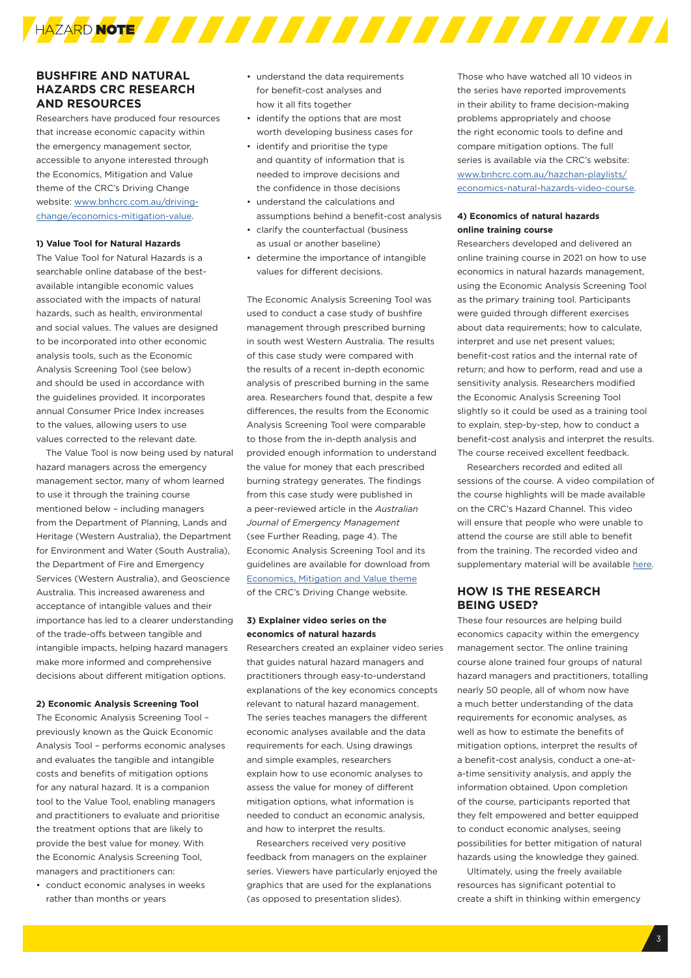

# **BUSHFIRE AND NATURAL HAZARDS CRC RESEARCH AND RESOURCES**

Researchers have produced four resources that increase economic capacity within the emergency management sector, accessible to anyone interested through the Economics, Mitigation and Value theme of the CRC's Driving Change website: [www.bnhcrc.com.au/driving](http://www.bnhcrc.com.au/driving-change/economics-mitigation-value)[change/economics-mitigation-value](http://www.bnhcrc.com.au/driving-change/economics-mitigation-value).

#### **1) Value Tool for Natural Hazards**

The Value Tool for Natural Hazards is a searchable online database of the bestavailable intangible economic values associated with the impacts of natural hazards, such as health, environmental and social values. The values are designed to be incorporated into other economic analysis tools, such as the Economic Analysis Screening Tool (see below) and should be used in accordance with the guidelines provided. It incorporates annual Consumer Price Index increases to the values, allowing users to use values corrected to the relevant date.

The Value Tool is now being used by natural hazard managers across the emergency management sector, many of whom learned to use it through the training course mentioned below – including managers from the Department of Planning, Lands and Heritage (Western Australia), the Department for Environment and Water (South Australia), the Department of Fire and Emergency Services (Western Australia), and Geoscience Australia. This increased awareness and acceptance of intangible values and their importance has led to a clearer understanding of the trade-offs between tangible and intangible impacts, helping hazard managers make more informed and comprehensive decisions about different mitigation options.

#### **2) Economic Analysis Screening Tool**

The Economic Analysis Screening Tool – previously known as the Quick Economic Analysis Tool – performs economic analyses and evaluates the tangible and intangible costs and benefits of mitigation options for any natural hazard. It is a companion tool to the Value Tool, enabling managers and practitioners to evaluate and prioritise the treatment options that are likely to provide the best value for money. With the Economic Analysis Screening Tool, managers and practitioners can:

• conduct economic analyses in weeks rather than months or years

- understand the data requirements for benefit-cost analyses and how it all fits together
- identify the options that are most worth developing business cases for
- identify and prioritise the type and quantity of information that is needed to improve decisions and the confidence in those decisions
- understand the calculations and assumptions behind a benefit-cost analysis
- clarify the counterfactual (business as usual or another baseline)
- determine the importance of intangible values for different decisions.

The Economic Analysis Screening Tool was used to conduct a case study of bushfire management through prescribed burning in south west Western Australia. The results of this case study were compared with the results of a recent in-depth economic analysis of prescribed burning in the same area. Researchers found that, despite a few differences, the results from the Economic Analysis Screening Tool were comparable to those from the in-depth analysis and provided enough information to understand the value for money that each prescribed burning strategy generates. The findings from this case study were published in a peer-reviewed article in the *Australian Journal of Emergency Management*  (see Further Reading, page 4). The Economic Analysis Screening Tool and its guidelines are available for download from [Economics, Mitigation and Value theme](https://www.bnhcrc.com.au/driving-change/economics-mitigation-value) of the CRC's Driving Change website.

# **3) Explainer video series on the economics of natural hazards**

Researchers created an explainer video series that guides natural hazard managers and practitioners through easy-to-understand explanations of the key economics concepts relevant to natural hazard management. The series teaches managers the different economic analyses available and the data requirements for each. Using drawings and simple examples, researchers explain how to use economic analyses to assess the value for money of different mitigation options, what information is needed to conduct an economic analysis, and how to interpret the results.

Researchers received very positive feedback from managers on the explainer series. Viewers have particularly enjoyed the graphics that are used for the explanations (as opposed to presentation slides).

Those who have watched all 10 videos in the series have reported improvements in their ability to frame decision-making problems appropriately and choose the right economic tools to define and compare mitigation options. The full series is available via the CRC's website: [www.bnhcrc.com.au/hazchan-playlists/](www.bnhcrc.com.au/hazchan-playlists/economics-natural-hazards-video-course) [economics-natural-hazards-video-course](www.bnhcrc.com.au/hazchan-playlists/economics-natural-hazards-video-course).

#### **4) Economics of natural hazards online training course**

Researchers developed and delivered an online training course in 2021 on how to use economics in natural hazards management, using the Economic Analysis Screening Tool as the primary training tool. Participants were guided through different exercises about data requirements; how to calculate, interpret and use net present values; benefit-cost ratios and the internal rate of return; and how to perform, read and use a sensitivity analysis. Researchers modified the Economic Analysis Screening Tool slightly so it could be used as a training tool to explain, step-by-step, how to conduct a benefit-cost analysis and interpret the results. The course received excellent feedback.

Researchers recorded and edited all sessions of the course. A video compilation of the course highlights will be made available on the CRC's Hazard Channel. This video will ensure that people who were unable to attend the course are still able to benefit from the training. The recorded video and supplementary material will be available [here.](https://www.bnhcrc.com.au/events/2021-economics-natural-hazards)

# **HOW IS THE RESEARCH BEING USED?**

These four resources are helping build economics capacity within the emergency management sector. The online training course alone trained four groups of natural hazard managers and practitioners, totalling nearly 50 people, all of whom now have a much better understanding of the data requirements for economic analyses, as well as how to estimate the benefits of mitigation options, interpret the results of a benefit-cost analysis, conduct a one-ata-time sensitivity analysis, and apply the information obtained. Upon completion of the course, participants reported that they felt empowered and better equipped to conduct economic analyses, seeing possibilities for better mitigation of natural hazards using the knowledge they gained.

Ultimately, using the freely available resources has significant potential to create a shift in thinking within emergency